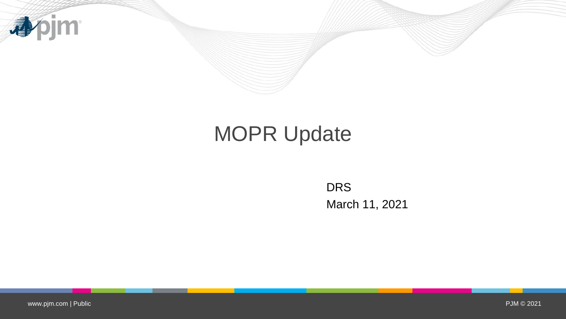

# MOPR Update

DRS March 11, 2021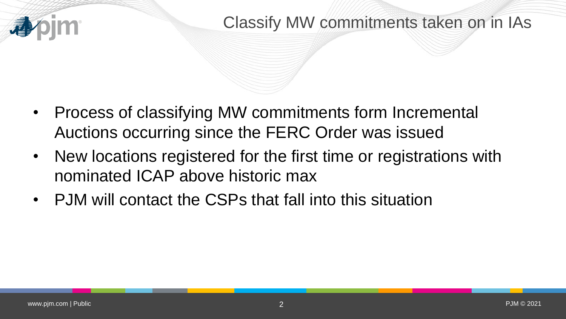### Classify MW commitments taken on in IAs

- Process of classifying MW commitments form Incremental Auctions occurring since the FERC Order was issued
- New locations registered for the first time or registrations with nominated ICAP above historic max
- PJM will contact the CSPs that fall into this situation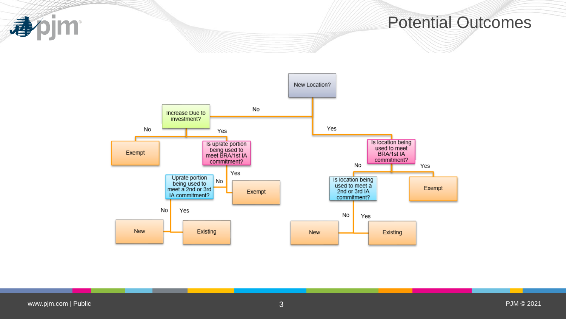apjm

#### Potential Outcomes

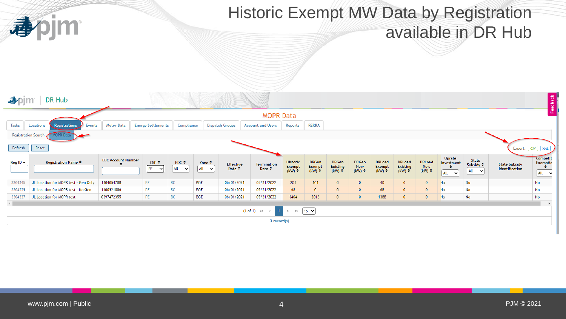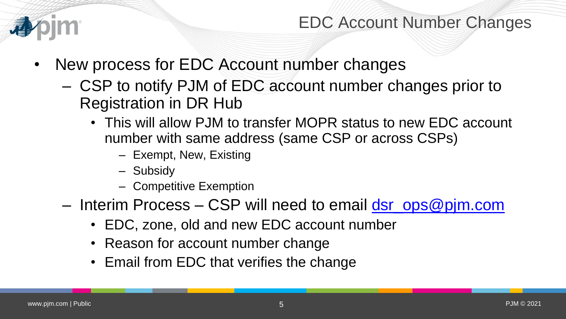

EDC Account Number Changes

- New process for EDC Account number changes
	- CSP to notify PJM of EDC account number changes prior to Registration in DR Hub
		- This will allow PJM to transfer MOPR status to new EDC account number with same address (same CSP or across CSPs)
			- Exempt, New, Existing
			- Subsidy
			- Competitive Exemption
	- Interim Process CSP will need to email [dsr\\_ops@pjm.com](mailto:dsr_ops@pjm.com)
		- EDC, zone, old and new EDC account number
		- Reason for account number change
		- Email from EDC that verifies the change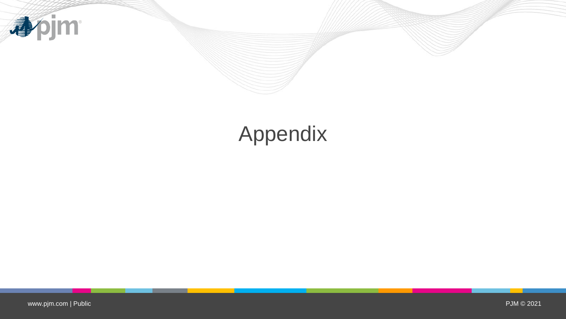

# Appendix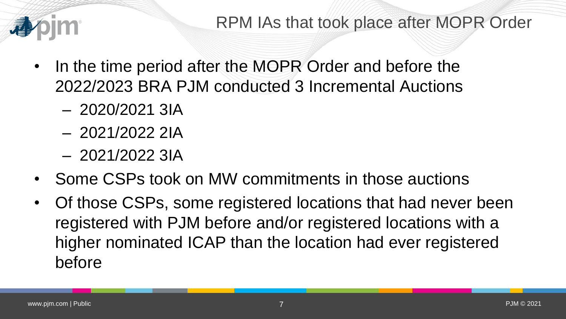

- In the time period after the MOPR Order and before the 2022/2023 BRA PJM conducted 3 Incremental Auctions
	- 2020/2021 3IA
	- 2021/2022 2IA
	- 2021/2022 3IA
- Some CSPs took on MW commitments in those auctions
- Of those CSPs, some registered locations that had never been registered with PJM before and/or registered locations with a higher nominated ICAP than the location had ever registered before